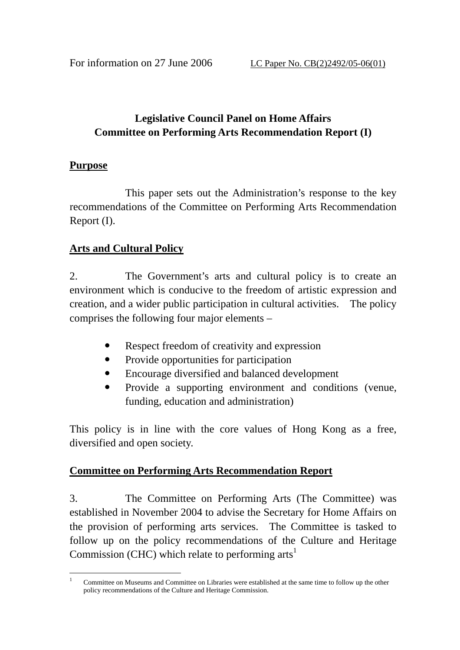# **Legislative Council Panel on Home Affairs Committee on Performing Arts Recommendation Report (I)**

### **Purpose**

 This paper sets out the Administration's response to the key recommendations of the Committee on Performing Arts Recommendation Report (I).

## **Arts and Cultural Policy**

2. The Government's arts and cultural policy is to create an environment which is conducive to the freedom of artistic expression and creation, and a wider public participation in cultural activities. The policy comprises the following four major elements –

- Respect freedom of creativity and expression
- Provide opportunities for participation
- ! Encourage diversified and balanced development
- ! Provide a supporting environment and conditions (venue, funding, education and administration)

This policy is in line with the core values of Hong Kong as a free, diversified and open society.

# **Committee on Performing Arts Recommendation Report**

3. The Committee on Performing Arts (The Committee) was established in November 2004 to advise the Secretary for Home Affairs on the provision of performing arts services. The Committee is tasked to follow up on the policy recommendations of the Culture and Heritage Commission (CHC) which relate to performing arts<sup>1</sup>

 $\frac{1}{1}$  Committee on Museums and Committee on Libraries were established at the same time to follow up the other policy recommendations of the Culture and Heritage Commission.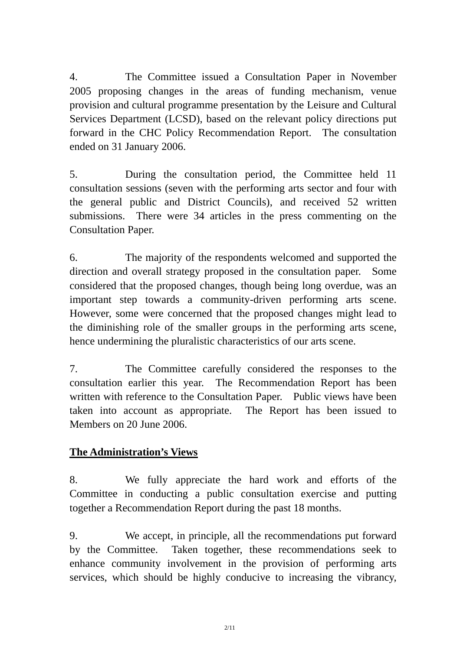4. The Committee issued a Consultation Paper in November 2005 proposing changes in the areas of funding mechanism, venue provision and cultural programme presentation by the Leisure and Cultural Services Department (LCSD), based on the relevant policy directions put forward in the CHC Policy Recommendation Report. The consultation ended on 31 January 2006.

5. During the consultation period, the Committee held 11 consultation sessions (seven with the performing arts sector and four with the general public and District Councils), and received 52 written submissions. There were 34 articles in the press commenting on the Consultation Paper.

6. The majority of the respondents welcomed and supported the direction and overall strategy proposed in the consultation paper. Some considered that the proposed changes, though being long overdue, was an important step towards a community-driven performing arts scene. However, some were concerned that the proposed changes might lead to the diminishing role of the smaller groups in the performing arts scene, hence undermining the pluralistic characteristics of our arts scene.

7. The Committee carefully considered the responses to the consultation earlier this year. The Recommendation Report has been written with reference to the Consultation Paper. Public views have been taken into account as appropriate. The Report has been issued to Members on 20 June 2006.

### **The Administration's Views**

8. We fully appreciate the hard work and efforts of the Committee in conducting a public consultation exercise and putting together a Recommendation Report during the past 18 months.

9. We accept, in principle, all the recommendations put forward by the Committee. Taken together, these recommendations seek to enhance community involvement in the provision of performing arts services, which should be highly conducive to increasing the vibrancy,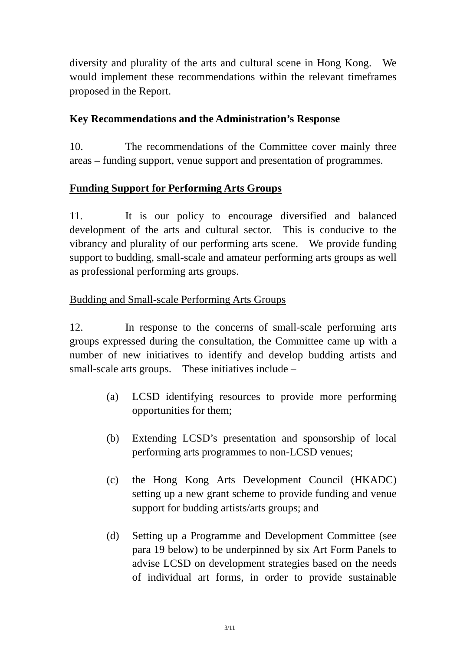diversity and plurality of the arts and cultural scene in Hong Kong. We would implement these recommendations within the relevant timeframes proposed in the Report.

#### **Key Recommendations and the Administration's Response**

10. The recommendations of the Committee cover mainly three areas – funding support, venue support and presentation of programmes.

### **Funding Support for Performing Arts Groups**

11. It is our policy to encourage diversified and balanced development of the arts and cultural sector. This is conducive to the vibrancy and plurality of our performing arts scene. We provide funding support to budding, small-scale and amateur performing arts groups as well as professional performing arts groups.

#### Budding and Small-scale Performing Arts Groups

12. In response to the concerns of small-scale performing arts groups expressed during the consultation, the Committee came up with a number of new initiatives to identify and develop budding artists and small-scale arts groups. These initiatives include –

- (a) LCSD identifying resources to provide more performing opportunities for them;
- (b) Extending LCSD's presentation and sponsorship of local performing arts programmes to non-LCSD venues;
- (c) the Hong Kong Arts Development Council (HKADC) setting up a new grant scheme to provide funding and venue support for budding artists/arts groups; and
- (d) Setting up a Programme and Development Committee (see para 19 below) to be underpinned by six Art Form Panels to advise LCSD on development strategies based on the needs of individual art forms, in order to provide sustainable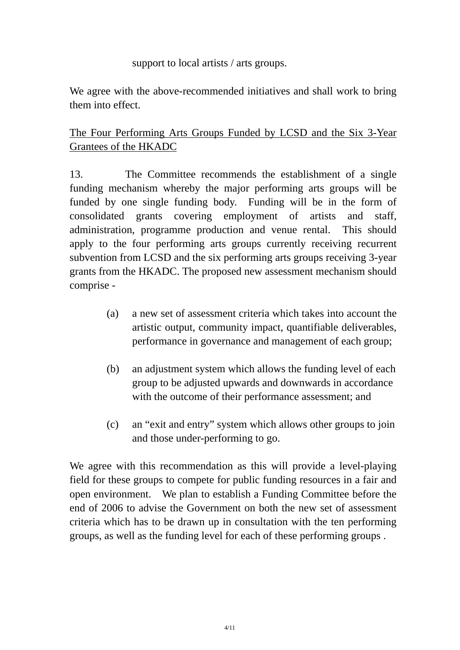#### support to local artists / arts groups.

We agree with the above-recommended initiatives and shall work to bring them into effect.

# The Four Performing Arts Groups Funded by LCSD and the Six 3-Year Grantees of the HKADC

13. The Committee recommends the establishment of a single funding mechanism whereby the major performing arts groups will be funded by one single funding body. Funding will be in the form of consolidated grants covering employment of artists and staff, administration, programme production and venue rental. This should apply to the four performing arts groups currently receiving recurrent subvention from LCSD and the six performing arts groups receiving 3-year grants from the HKADC. The proposed new assessment mechanism should comprise -

- (a) a new set of assessment criteria which takes into account the artistic output, community impact, quantifiable deliverables, performance in governance and management of each group;
- (b) an adjustment system which allows the funding level of each group to be adjusted upwards and downwards in accordance with the outcome of their performance assessment; and
- (c) an "exit and entry" system which allows other groups to join and those under-performing to go.

We agree with this recommendation as this will provide a level-playing field for these groups to compete for public funding resources in a fair and open environment. We plan to establish a Funding Committee before the end of 2006 to advise the Government on both the new set of assessment criteria which has to be drawn up in consultation with the ten performing groups, as well as the funding level for each of these performing groups .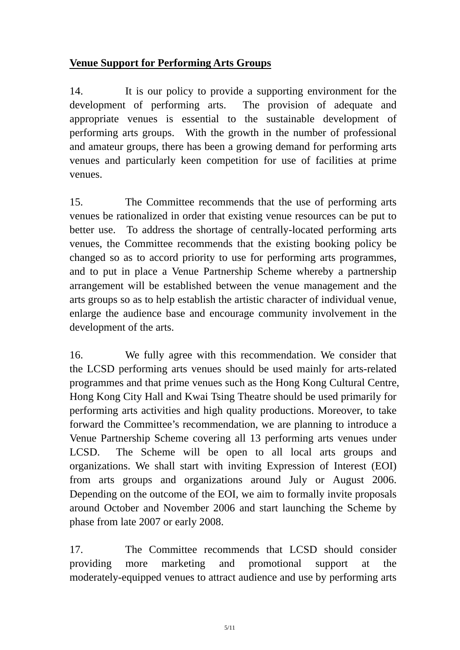## **Venue Support for Performing Arts Groups**

14. It is our policy to provide a supporting environment for the development of performing arts. The provision of adequate and appropriate venues is essential to the sustainable development of performing arts groups. With the growth in the number of professional and amateur groups, there has been a growing demand for performing arts venues and particularly keen competition for use of facilities at prime venues.

15. The Committee recommends that the use of performing arts venues be rationalized in order that existing venue resources can be put to better use. To address the shortage of centrally-located performing arts venues, the Committee recommends that the existing booking policy be changed so as to accord priority to use for performing arts programmes, and to put in place a Venue Partnership Scheme whereby a partnership arrangement will be established between the venue management and the arts groups so as to help establish the artistic character of individual venue, enlarge the audience base and encourage community involvement in the development of the arts.

16. We fully agree with this recommendation. We consider that the LCSD performing arts venues should be used mainly for arts-related programmes and that prime venues such as the Hong Kong Cultural Centre, Hong Kong City Hall and Kwai Tsing Theatre should be used primarily for performing arts activities and high quality productions. Moreover, to take forward the Committee's recommendation, we are planning to introduce a Venue Partnership Scheme covering all 13 performing arts venues under LCSD. The Scheme will be open to all local arts groups and organizations. We shall start with inviting Expression of Interest (EOI) from arts groups and organizations around July or August 2006. Depending on the outcome of the EOI, we aim to formally invite proposals around October and November 2006 and start launching the Scheme by phase from late 2007 or early 2008.

17. The Committee recommends that LCSD should consider providing more marketing and promotional support at the moderately-equipped venues to attract audience and use by performing arts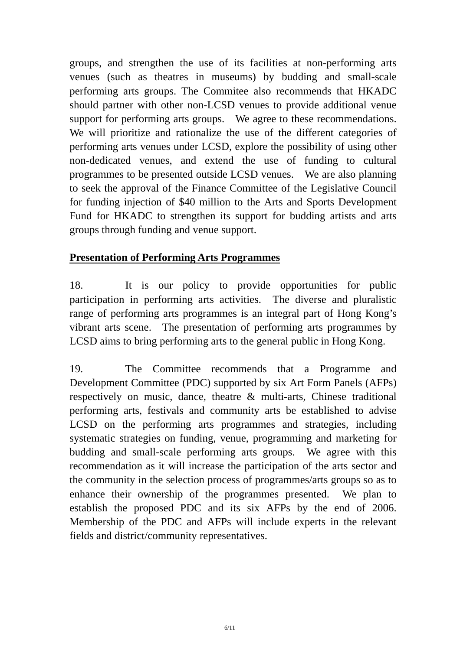groups, and strengthen the use of its facilities at non-performing arts venues (such as theatres in museums) by budding and small-scale performing arts groups. The Commitee also recommends that HKADC should partner with other non-LCSD venues to provide additional venue support for performing arts groups. We agree to these recommendations. We will prioritize and rationalize the use of the different categories of performing arts venues under LCSD, explore the possibility of using other non-dedicated venues, and extend the use of funding to cultural programmes to be presented outside LCSD venues. We are also planning to seek the approval of the Finance Committee of the Legislative Council for funding injection of \$40 million to the Arts and Sports Development Fund for HKADC to strengthen its support for budding artists and arts groups through funding and venue support.

#### **Presentation of Performing Arts Programmes**

18. It is our policy to provide opportunities for public participation in performing arts activities. The diverse and pluralistic range of performing arts programmes is an integral part of Hong Kong's vibrant arts scene. The presentation of performing arts programmes by LCSD aims to bring performing arts to the general public in Hong Kong.

19. The Committee recommends that a Programme and Development Committee (PDC) supported by six Art Form Panels (AFPs) respectively on music, dance, theatre & multi-arts, Chinese traditional performing arts, festivals and community arts be established to advise LCSD on the performing arts programmes and strategies, including systematic strategies on funding, venue, programming and marketing for budding and small-scale performing arts groups. We agree with this recommendation as it will increase the participation of the arts sector and the community in the selection process of programmes/arts groups so as to enhance their ownership of the programmes presented. We plan to establish the proposed PDC and its six AFPs by the end of 2006. Membership of the PDC and AFPs will include experts in the relevant fields and district/community representatives.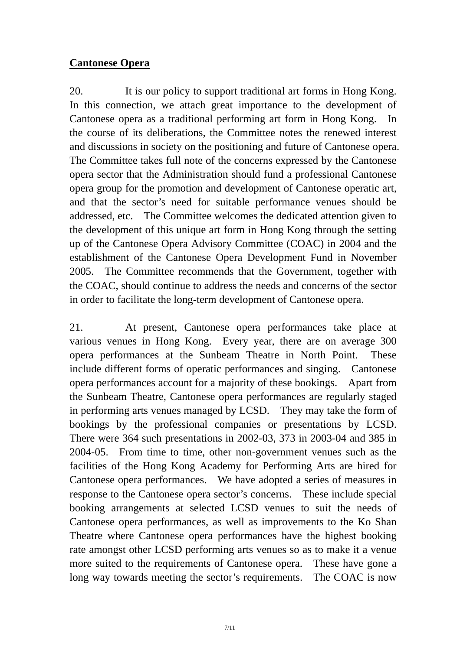#### **Cantonese Opera**

20. It is our policy to support traditional art forms in Hong Kong. In this connection, we attach great importance to the development of Cantonese opera as a traditional performing art form in Hong Kong. In the course of its deliberations, the Committee notes the renewed interest and discussions in society on the positioning and future of Cantonese opera. The Committee takes full note of the concerns expressed by the Cantonese opera sector that the Administration should fund a professional Cantonese opera group for the promotion and development of Cantonese operatic art, and that the sector's need for suitable performance venues should be addressed, etc. The Committee welcomes the dedicated attention given to the development of this unique art form in Hong Kong through the setting up of the Cantonese Opera Advisory Committee (COAC) in 2004 and the establishment of the Cantonese Opera Development Fund in November 2005. The Committee recommends that the Government, together with the COAC, should continue to address the needs and concerns of the sector in order to facilitate the long-term development of Cantonese opera.

21. At present, Cantonese opera performances take place at various venues in Hong Kong. Every year, there are on average 300 opera performances at the Sunbeam Theatre in North Point. These include different forms of operatic performances and singing. Cantonese opera performances account for a majority of these bookings. Apart from the Sunbeam Theatre, Cantonese opera performances are regularly staged in performing arts venues managed by LCSD. They may take the form of bookings by the professional companies or presentations by LCSD. There were 364 such presentations in 2002-03, 373 in 2003-04 and 385 in 2004-05. From time to time, other non-government venues such as the facilities of the Hong Kong Academy for Performing Arts are hired for Cantonese opera performances. We have adopted a series of measures in response to the Cantonese opera sector's concerns. These include special booking arrangements at selected LCSD venues to suit the needs of Cantonese opera performances, as well as improvements to the Ko Shan Theatre where Cantonese opera performances have the highest booking rate amongst other LCSD performing arts venues so as to make it a venue more suited to the requirements of Cantonese opera. These have gone a long way towards meeting the sector's requirements. The COAC is now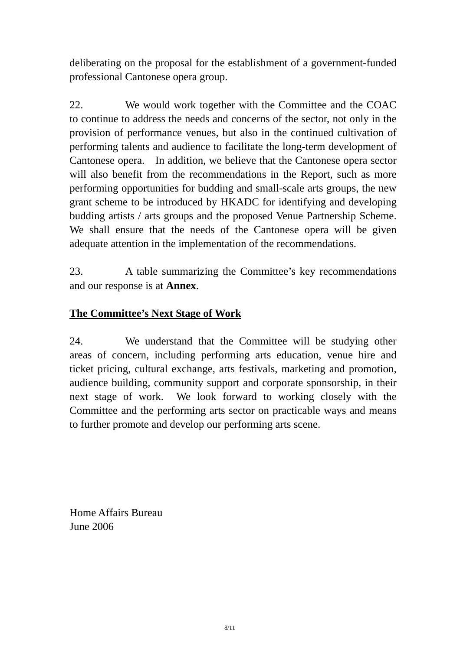deliberating on the proposal for the establishment of a government-funded professional Cantonese opera group.

22. We would work together with the Committee and the COAC to continue to address the needs and concerns of the sector, not only in the provision of performance venues, but also in the continued cultivation of performing talents and audience to facilitate the long-term development of Cantonese opera. In addition, we believe that the Cantonese opera sector will also benefit from the recommendations in the Report, such as more performing opportunities for budding and small-scale arts groups, the new grant scheme to be introduced by HKADC for identifying and developing budding artists / arts groups and the proposed Venue Partnership Scheme. We shall ensure that the needs of the Cantonese opera will be given adequate attention in the implementation of the recommendations.

23. A table summarizing the Committee's key recommendations and our response is at **Annex**.

## **The Committee's Next Stage of Work**

24. We understand that the Committee will be studying other areas of concern, including performing arts education, venue hire and ticket pricing, cultural exchange, arts festivals, marketing and promotion, audience building, community support and corporate sponsorship, in their next stage of work. We look forward to working closely with the Committee and the performing arts sector on practicable ways and means to further promote and develop our performing arts scene.

Home Affairs Bureau June 2006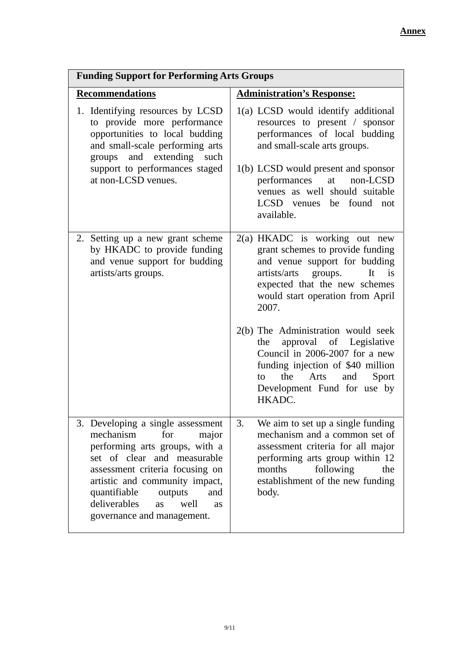| <b>Funding Support for Performing Arts Groups</b>                                                                                                                                                                                                                                                        |                                                                                                                                                                                                                             |  |
|----------------------------------------------------------------------------------------------------------------------------------------------------------------------------------------------------------------------------------------------------------------------------------------------------------|-----------------------------------------------------------------------------------------------------------------------------------------------------------------------------------------------------------------------------|--|
| <b>Recommendations</b>                                                                                                                                                                                                                                                                                   | <b>Administration's Response:</b>                                                                                                                                                                                           |  |
| 1. Identifying resources by LCSD<br>to provide more performance<br>opportunities to local budding<br>and small-scale performing arts<br>groups and extending such                                                                                                                                        | 1(a) LCSD would identify additional<br>resources to present / sponsor<br>performances of local budding<br>and small-scale arts groups.                                                                                      |  |
| support to performances staged<br>at non-LCSD venues.                                                                                                                                                                                                                                                    | 1(b) LCSD would present and sponsor<br>non-LCSD<br>performances<br>at<br>venues as well should suitable<br>LCSD venues be found not<br>available.                                                                           |  |
| 2. Setting up a new grant scheme<br>by HKADC to provide funding<br>and venue support for budding<br>artists/arts groups.                                                                                                                                                                                 | 2(a) HKADC is working out new<br>grant schemes to provide funding<br>and venue support for budding<br>artists/arts<br>groups.<br>It<br>$-$ is<br>expected that the new schemes<br>would start operation from April<br>2007. |  |
|                                                                                                                                                                                                                                                                                                          | 2(b) The Administration would seek<br>approval of Legislative<br>the<br>Council in 2006-2007 for a new<br>funding injection of \$40 million<br>the Arts and<br>Sport<br>to<br>Development Fund for use by<br>HKADC.         |  |
| 3. Developing a single assessment<br>mechanism<br>for<br>major<br>performing arts groups, with a<br>set of clear and measurable<br>assessment criteria focusing on<br>artistic and community impact,<br>quantifiable<br>outputs<br>and<br>deliverables<br>well<br>as<br>as<br>governance and management. | We aim to set up a single funding<br>3.<br>mechanism and a common set of<br>assessment criteria for all major<br>performing arts group within 12<br>following<br>months<br>the<br>establishment of the new funding<br>body. |  |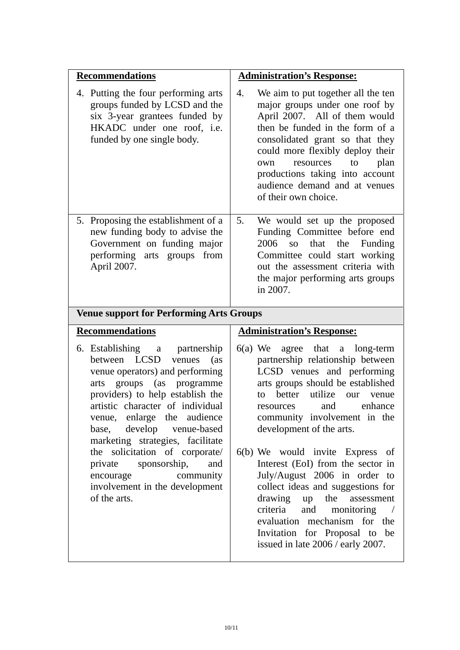| <b>Recommendations</b>                                                                                                                                                                                                                                                                                                                                                                                                                     | <b>Administration's Response:</b>                                                                                                                                                                                                                                                                                                                                                        |  |
|--------------------------------------------------------------------------------------------------------------------------------------------------------------------------------------------------------------------------------------------------------------------------------------------------------------------------------------------------------------------------------------------------------------------------------------------|------------------------------------------------------------------------------------------------------------------------------------------------------------------------------------------------------------------------------------------------------------------------------------------------------------------------------------------------------------------------------------------|--|
| 4. Putting the four performing arts<br>groups funded by LCSD and the<br>six 3-year grantees funded by<br>HKADC under one roof, i.e.<br>funded by one single body.                                                                                                                                                                                                                                                                          | We aim to put together all the ten<br>4.<br>major groups under one roof by<br>April 2007. All of them would<br>then be funded in the form of a<br>consolidated grant so that they<br>could more flexibly deploy their<br>plan<br>resources<br>to<br>own<br>productions taking into account<br>audience demand and at venues<br>of their own choice.                                      |  |
| 5. Proposing the establishment of a<br>new funding body to advise the<br>Government on funding major<br>performing arts groups from<br>April 2007.                                                                                                                                                                                                                                                                                         | We would set up the proposed<br>5.<br>Funding Committee before end<br>2006<br>that<br>the<br>Funding<br>SO <sub>1</sub><br>Committee could start working<br>out the assessment criteria with<br>the major performing arts groups<br>in 2007.                                                                                                                                             |  |
| <b>Venue support for Performing Arts Groups</b>                                                                                                                                                                                                                                                                                                                                                                                            |                                                                                                                                                                                                                                                                                                                                                                                          |  |
| <b>Recommendations</b>                                                                                                                                                                                                                                                                                                                                                                                                                     | <b>Administration's Response:</b>                                                                                                                                                                                                                                                                                                                                                        |  |
| 6. Establishing a<br>partnership<br>between LCSD<br>venues<br>(as)<br>venue operators) and performing<br>arts groups (as<br>programme<br>providers) to help establish the<br>artistic character of individual<br>venue, enlarge the audience<br>base, develop venue-based<br>marketing strategies, facilitate<br>the solicitation of corporate/<br>private sponsorship,<br>and<br>community<br>encourage<br>involvement in the development | agree that a long-term<br>$6(a)$ We<br>partnership relationship between<br>LCSD venues and performing<br>arts groups should be established<br>utilize<br>better<br>our<br>to<br>venue<br>enhance<br>and<br>resources<br>community involvement in the<br>development of the arts.<br>6(b) We would invite Express of<br>Interest (EoI) from the sector in<br>July/August 2006 in order to |  |